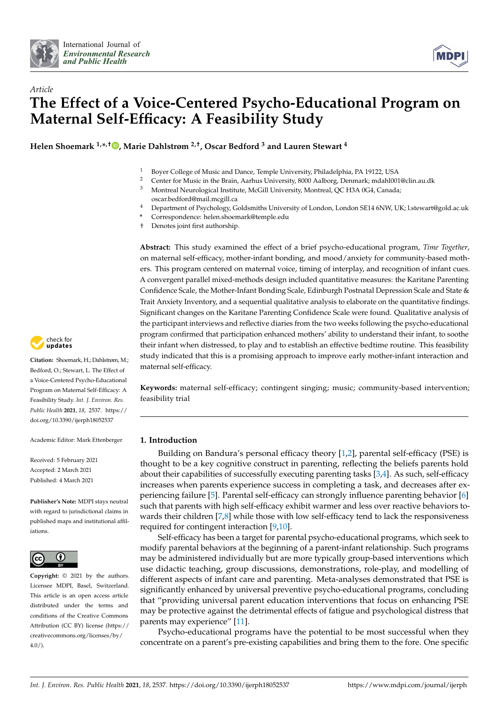



# *Article* **The Effect of a Voice-Centered Psycho-Educational Program on Maternal Self-Efficacy: A Feasibility Study**

**Helen Shoemark 1,\* ,† [,](https://orcid.org/0000-0001-5038-9374) Marie Dahlstrøm 2,†, Oscar Bedford <sup>3</sup> and Lauren Stewart <sup>4</sup>**

- <sup>1</sup> Boyer College of Music and Dance, Temple University, Philadelphia, PA 19122, USA<br><sup>2</sup> Contention Music in the Prain, Aerbus University, 2000 Aelborg, Denmark: mdabl00
- <sup>2</sup> Center for Music in the Brain, Aarhus University, 8000 Aalborg, Denmark; mdahl001@clin.au.dk<br><sup>3</sup> Montroal Naurolacical Institute McCill University Montroal, OC H3A 0C4, Canada:
- <sup>3</sup> Montreal Neurological Institute, McGill University, Montreal, QC H3A 0G4, Canada; oscar.bedford@mail.mcgill.ca
- <sup>4</sup> Department of Psychology, Goldsmiths University of London, London SE14 6NW, UK; l.stewart@gold.ac.uk
- **\*** Correspondence: helen.shoemark@temple.edu
- † Denotes joint first authorship.

**Abstract:** This study examined the effect of a brief psycho-educational program, *Time Together*, on maternal self-efficacy, mother-infant bonding, and mood/anxiety for community-based mothers. This program centered on maternal voice, timing of interplay, and recognition of infant cues. A convergent parallel mixed-methods design included quantitative measures: the Karitane Parenting Confidence Scale, the Mother-Infant Bonding Scale, Edinburgh Postnatal Depression Scale and State & Trait Anxiety Inventory, and a sequential qualitative analysis to elaborate on the quantitative findings. Significant changes on the Karitane Parenting Confidence Scale were found. Qualitative analysis of the participant interviews and reflective diaries from the two weeks following the psycho-educational program confirmed that participation enhanced mothers' ability to understand their infant, to soothe their infant when distressed, to play and to establish an effective bedtime routine. This feasibility study indicated that this is a promising approach to improve early mother-infant interaction and maternal self-efficacy.

**Keywords:** maternal self-efficacy; contingent singing; music; community-based intervention; feasibility trial

# **1. Introduction**

Building on Bandura's personal efficacy theory [\[1](#page-6-0)[,2\]](#page-6-1), parental self-efficacy (PSE) is thought to be a key cognitive construct in parenting, reflecting the beliefs parents hold about their capabilities of successfully executing parenting tasks [\[3](#page-6-2)[,4\]](#page-6-3). As such, self-efficacy increases when parents experience success in completing a task, and decreases after experiencing failure [\[5\]](#page-7-0). Parental self-efficacy can strongly influence parenting behavior [\[6\]](#page-7-1) such that parents with high self-efficacy exhibit warmer and less over reactive behaviors to-wards their children [\[7](#page-7-2)[,8\]](#page-7-3) while those with low self-efficacy tend to lack the responsiveness required for contingent interaction [\[9,](#page-7-4)[10\]](#page-7-5).

Self-efficacy has been a target for parental psycho-educational programs, which seek to modify parental behaviors at the beginning of a parent-infant relationship. Such programs may be administered individually but are more typically group-based interventions which use didactic teaching, group discussions, demonstrations, role-play, and modelling of different aspects of infant care and parenting. Meta-analyses demonstrated that PSE is significantly enhanced by universal preventive psycho-educational programs, concluding that "providing universal parent education interventions that focus on enhancing PSE may be protective against the detrimental effects of fatigue and psychological distress that parents may experience" [\[11\]](#page-7-6).

Psycho-educational programs have the potential to be most successful when they concentrate on a parent's pre-existing capabilities and bring them to the fore. One specific



**Citation:** Shoemark, H.; Dahlstrøm, M.; Bedford, O.; Stewart, L. The Effect of a Voice-Centered Psycho-Educational Program on Maternal Self-Efficacy: A Feasibility Study. *Int. J. Environ. Res. Public Health* **2021**, *18*, 2537. [https://](https://doi.org/10.3390/ijerph18052537) [doi.org/10.3390/ijerph18052537](https://doi.org/10.3390/ijerph18052537)

Academic Editor: Mark Ettenberger

Received: 5 February 2021 Accepted: 2 March 2021 Published: 4 March 2021

**Publisher's Note:** MDPI stays neutral with regard to jurisdictional claims in published maps and institutional affiliations.



**Copyright:** © 2021 by the authors. Licensee MDPI, Basel, Switzerland. This article is an open access article distributed under the terms and conditions of the Creative Commons Attribution (CC BY) license (https:/[/](https://creativecommons.org/licenses/by/4.0/) [creativecommons.org/licenses/by/](https://creativecommons.org/licenses/by/4.0/) 4.0/).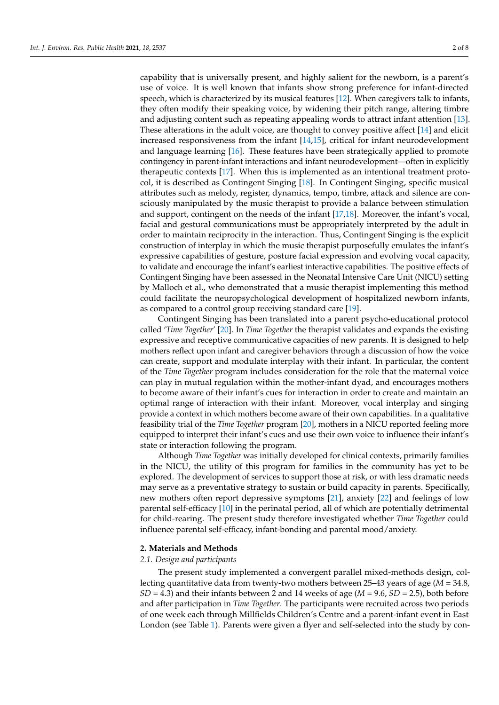capability that is universally present, and highly salient for the newborn, is a parent's use of voice. It is well known that infants show strong preference for infant-directed speech, which is characterized by its musical features [\[12\]](#page-7-7). When caregivers talk to infants, they often modify their speaking voice, by widening their pitch range, altering timbre and adjusting content such as repeating appealing words to attract infant attention [\[13\]](#page-7-8). These alterations in the adult voice, are thought to convey positive affect [\[14\]](#page-7-9) and elicit increased responsiveness from the infant [\[14,](#page-7-9)[15\]](#page-7-10), critical for infant neurodevelopment and language learning [\[16\]](#page-7-11). These features have been strategically applied to promote contingency in parent-infant interactions and infant neurodevelopment—often in explicitly therapeutic contexts [\[17\]](#page-7-12). When this is implemented as an intentional treatment protocol, it is described as Contingent Singing [\[18\]](#page-7-13). In Contingent Singing, specific musical attributes such as melody, register, dynamics, tempo, timbre, attack and silence are consciously manipulated by the music therapist to provide a balance between stimulation and support, contingent on the needs of the infant [\[17](#page-7-12)[,18\]](#page-7-13). Moreover, the infant's vocal, facial and gestural communications must be appropriately interpreted by the adult in order to maintain reciprocity in the interaction. Thus, Contingent Singing is the explicit construction of interplay in which the music therapist purposefully emulates the infant's expressive capabilities of gesture, posture facial expression and evolving vocal capacity, to validate and encourage the infant's earliest interactive capabilities. The positive effects of Contingent Singing have been assessed in the Neonatal Intensive Care Unit (NICU) setting by Malloch et al., who demonstrated that a music therapist implementing this method could facilitate the neuropsychological development of hospitalized newborn infants, as compared to a control group receiving standard care [\[19\]](#page-7-14).

Contingent Singing has been translated into a parent psycho-educational protocol called '*Time Together*' [\[20\]](#page-7-15). In *Time Together* the therapist validates and expands the existing expressive and receptive communicative capacities of new parents. It is designed to help mothers reflect upon infant and caregiver behaviors through a discussion of how the voice can create, support and modulate interplay with their infant. In particular, the content of the *Time Together* program includes consideration for the role that the maternal voice can play in mutual regulation within the mother-infant dyad, and encourages mothers to become aware of their infant's cues for interaction in order to create and maintain an optimal range of interaction with their infant. Moreover, vocal interplay and singing provide a context in which mothers become aware of their own capabilities. In a qualitative feasibility trial of the *Time Together* program [\[20\]](#page-7-15), mothers in a NICU reported feeling more equipped to interpret their infant's cues and use their own voice to influence their infant's state or interaction following the program.

Although *Time Together* was initially developed for clinical contexts, primarily families in the NICU, the utility of this program for families in the community has yet to be explored. The development of services to support those at risk, or with less dramatic needs may serve as a preventative strategy to sustain or build capacity in parents. Specifically, new mothers often report depressive symptoms [\[21\]](#page-7-16), anxiety [\[22\]](#page-7-17) and feelings of low parental self-efficacy [\[10\]](#page-7-5) in the perinatal period, all of which are potentially detrimental for child-rearing. The present study therefore investigated whether *Time Together* could influence parental self-efficacy, infant-bonding and parental mood/anxiety.

## **2. Materials and Methods**

## *2.1. Design and participants*

The present study implemented a convergent parallel mixed-methods design, collecting quantitative data from twenty-two mothers between 25–43 years of age (*M* = 34.8, *SD* = 4.3) and their infants between 2 and 14 weeks of age (*M* = 9.6, *SD* = 2.5), both before and after participation in *Time Together*. The participants were recruited across two periods of one week each through Millfields Children's Centre and a parent-infant event in East London (see Table [1\)](#page-2-0). Parents were given a flyer and self-selected into the study by con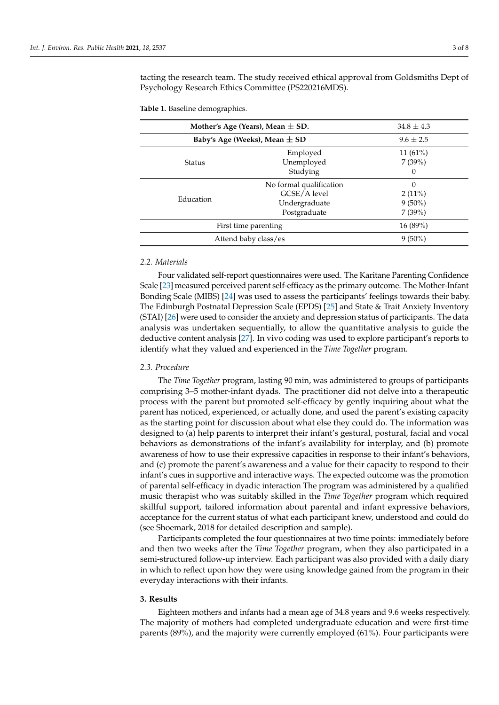tacting the research team. The study received ethical approval from Goldsmiths Dept of Psychology Research Ethics Committee (PS220216MDS).

<span id="page-2-0"></span>**Table 1.** Baseline demographics.

| Mother's Age (Years), Mean $\pm$ SD. |                         | $34.8 \pm 4.3$ |
|--------------------------------------|-------------------------|----------------|
| Baby's Age (Weeks), Mean $\pm$ SD    |                         | $9.6 \pm 2.5$  |
|                                      | Employed                | $11(61\%)$     |
| <b>Status</b>                        | Unemployed              | 7(39%)         |
|                                      | Studying                | $\Omega$       |
| Education                            | No formal qualification | 0              |
|                                      | GCSE/A level            | $2(11\%)$      |
|                                      | Undergraduate           | $9(50\%)$      |
|                                      | Postgraduate            | 7(39%)         |
| First time parenting                 |                         | $16(89\%)$     |
| Attend baby class/es                 |                         | $9(50\%)$      |

# *2.2. Materials*

Four validated self-report questionnaires were used. The Karitane Parenting Confidence Scale [\[23\]](#page-7-18) measured perceived parent self-efficacy as the primary outcome. The Mother-Infant Bonding Scale (MIBS) [\[24\]](#page-7-19) was used to assess the participants' feelings towards their baby. The Edinburgh Postnatal Depression Scale (EPDS) [\[25\]](#page-7-20) and State & Trait Anxiety Inventory (STAI) [\[26\]](#page-7-21) were used to consider the anxiety and depression status of participants. The data analysis was undertaken sequentially, to allow the quantitative analysis to guide the deductive content analysis [\[27\]](#page-7-22). In vivo coding was used to explore participant's reports to identify what they valued and experienced in the *Time Together* program.

## *2.3. Procedure*

The *Time Together* program, lasting 90 min, was administered to groups of participants comprising 3–5 mother-infant dyads. The practitioner did not delve into a therapeutic process with the parent but promoted self-efficacy by gently inquiring about what the parent has noticed, experienced, or actually done, and used the parent's existing capacity as the starting point for discussion about what else they could do. The information was designed to (a) help parents to interpret their infant's gestural, postural, facial and vocal behaviors as demonstrations of the infant's availability for interplay, and (b) promote awareness of how to use their expressive capacities in response to their infant's behaviors, and (c) promote the parent's awareness and a value for their capacity to respond to their infant's cues in supportive and interactive ways. The expected outcome was the promotion of parental self-efficacy in dyadic interaction The program was administered by a qualified music therapist who was suitably skilled in the *Time Together* program which required skillful support, tailored information about parental and infant expressive behaviors, acceptance for the current status of what each participant knew, understood and could do (see Shoemark, 2018 for detailed description and sample).

Participants completed the four questionnaires at two time points: immediately before and then two weeks after the *Time Together* program, when they also participated in a semi-structured follow-up interview. Each participant was also provided with a daily diary in which to reflect upon how they were using knowledge gained from the program in their everyday interactions with their infants.

## **3. Results**

Eighteen mothers and infants had a mean age of 34.8 years and 9.6 weeks respectively. The majority of mothers had completed undergraduate education and were first-time parents (89%), and the majority were currently employed (61%). Four participants were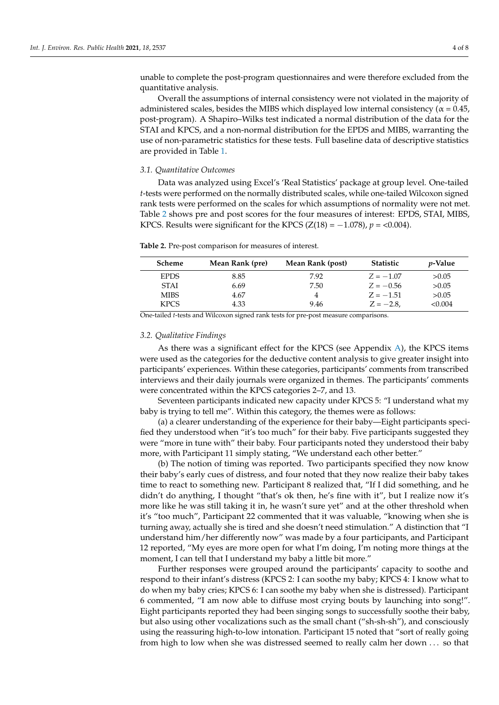unable to complete the post-program questionnaires and were therefore excluded from the quantitative analysis.

Overall the assumptions of internal consistency were not violated in the majority of administered scales, besides the MIBS which displayed low internal consistency ( $\alpha$  = 0.45, post-program). A Shapiro–Wilks test indicated a normal distribution of the data for the STAI and KPCS, and a non-normal distribution for the EPDS and MIBS, warranting the use of non-parametric statistics for these tests. Full baseline data of descriptive statistics are provided in Table [1.](#page-2-0)

#### *3.1. Quantitative Outcomes*

Data was analyzed using Excel's 'Real Statistics' package at group level. One-tailed *t*-tests were performed on the normally distributed scales, while one-tailed Wilcoxon signed rank tests were performed on the scales for which assumptions of normality were not met. Table [2](#page-3-0) shows pre and post scores for the four measures of interest: EPDS, STAI, MIBS, KPCS. Results were significant for the KPCS  $(Z(18) = -1.078)$ ,  $p = 0.004$ .

<span id="page-3-0"></span>**Table 2.** Pre-post comparison for measures of interest.

| Scheme      | Mean Rank (pre) | Mean Rank (post) | Statistic    | <i>p</i> -Value |
|-------------|-----------------|------------------|--------------|-----------------|
| <b>EPDS</b> | 8.85            | 7.92             | $Z = -1.07$  | >0.05           |
| <b>STAI</b> | 6.69            | 7.50             | $Z = -0.56$  | >0.05           |
| <b>MIBS</b> | 4.67            |                  | $Z = -1.51$  | >0.05           |
| <b>KPCS</b> | 4.33            | 9.46             | $Z = -2.8$ . | < 0.004         |

One-tailed *t*-tests and Wilcoxon signed rank tests for pre-post measure comparisons.

## *3.2. Qualitative Findings*

As there was a significant effect for the KPCS (see Appendix [A\)](#page-6-4), the KPCS items were used as the categories for the deductive content analysis to give greater insight into participants' experiences. Within these categories, participants' comments from transcribed interviews and their daily journals were organized in themes. The participants' comments were concentrated within the KPCS categories 2–7, and 13.

Seventeen participants indicated new capacity under KPCS 5: "I understand what my baby is trying to tell me". Within this category, the themes were as follows:

(a) a clearer understanding of the experience for their baby—Eight participants specified they understood when "it's too much" for their baby. Five participants suggested they were "more in tune with" their baby. Four participants noted they understood their baby more, with Participant 11 simply stating, "We understand each other better."

(b) The notion of timing was reported. Two participants specified they now know their baby's early cues of distress, and four noted that they now realize their baby takes time to react to something new. Participant 8 realized that, "If I did something, and he didn't do anything, I thought "that's ok then, he's fine with it", but I realize now it's more like he was still taking it in, he wasn't sure yet" and at the other threshold when it's "too much", Participant 22 commented that it was valuable, "knowing when she is turning away, actually she is tired and she doesn't need stimulation." A distinction that "I understand him/her differently now" was made by a four participants, and Participant 12 reported, "My eyes are more open for what I'm doing, I'm noting more things at the moment, I can tell that I understand my baby a little bit more."

Further responses were grouped around the participants' capacity to soothe and respond to their infant's distress (KPCS 2: I can soothe my baby; KPCS 4: I know what to do when my baby cries; KPCS 6: I can soothe my baby when she is distressed). Participant 6 commented, "I am now able to diffuse most crying bouts by launching into song!". Eight participants reported they had been singing songs to successfully soothe their baby, but also using other vocalizations such as the small chant ("sh-sh-sh"), and consciously using the reassuring high-to-low intonation. Participant 15 noted that "sort of really going from high to low when she was distressed seemed to really calm her down . . . so that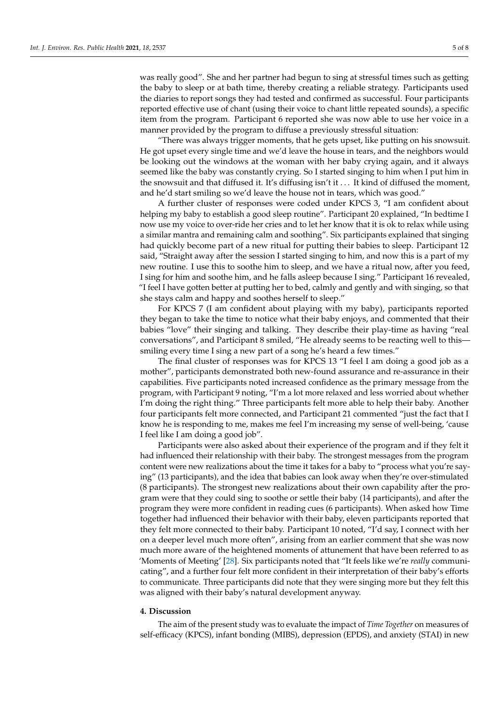was really good". She and her partner had begun to sing at stressful times such as getting the baby to sleep or at bath time, thereby creating a reliable strategy. Participants used the diaries to report songs they had tested and confirmed as successful. Four participants reported effective use of chant (using their voice to chant little repeated sounds), a specific item from the program. Participant 6 reported she was now able to use her voice in a manner provided by the program to diffuse a previously stressful situation:

"There was always trigger moments, that he gets upset, like putting on his snowsuit. He got upset every single time and we'd leave the house in tears, and the neighbors would be looking out the windows at the woman with her baby crying again, and it always seemed like the baby was constantly crying. So I started singing to him when I put him in the snowsuit and that diffused it. It's diffusing isn't it . . . It kind of diffused the moment, and he'd start smiling so we'd leave the house not in tears, which was good."

A further cluster of responses were coded under KPCS 3, "I am confident about helping my baby to establish a good sleep routine". Participant 20 explained, "In bedtime I now use my voice to over-ride her cries and to let her know that it is ok to relax while using a similar mantra and remaining calm and soothing". Six participants explained that singing had quickly become part of a new ritual for putting their babies to sleep. Participant 12 said, "Straight away after the session I started singing to him, and now this is a part of my new routine. I use this to soothe him to sleep, and we have a ritual now, after you feed, I sing for him and soothe him, and he falls asleep because I sing." Participant 16 revealed, "I feel I have gotten better at putting her to bed, calmly and gently and with singing, so that she stays calm and happy and soothes herself to sleep."

For KPCS 7 (I am confident about playing with my baby), participants reported they began to take the time to notice what their baby enjoys, and commented that their babies "love" their singing and talking. They describe their play-time as having "real conversations", and Participant 8 smiled, "He already seems to be reacting well to this smiling every time I sing a new part of a song he's heard a few times."

The final cluster of responses was for KPCS 13 "I feel I am doing a good job as a mother", participants demonstrated both new-found assurance and re-assurance in their capabilities. Five participants noted increased confidence as the primary message from the program, with Participant 9 noting, "I'm a lot more relaxed and less worried about whether I'm doing the right thing." Three participants felt more able to help their baby. Another four participants felt more connected, and Participant 21 commented "just the fact that I know he is responding to me, makes me feel I'm increasing my sense of well-being, 'cause I feel like I am doing a good job".

Participants were also asked about their experience of the program and if they felt it had influenced their relationship with their baby. The strongest messages from the program content were new realizations about the time it takes for a baby to "process what you're saying" (13 participants), and the idea that babies can look away when they're over-stimulated (8 participants). The strongest new realizations about their own capability after the program were that they could sing to soothe or settle their baby (14 participants), and after the program they were more confident in reading cues (6 participants). When asked how Time together had influenced their behavior with their baby, eleven participants reported that they felt more connected to their baby. Participant 10 noted, "I'd say, I connect with her on a deeper level much more often", arising from an earlier comment that she was now much more aware of the heightened moments of attunement that have been referred to as 'Moments of Meeting' [\[28\]](#page-7-23). Six participants noted that "It feels like we're *really* communicating", and a further four felt more confident in their interpretation of their baby's efforts to communicate. Three participants did note that they were singing more but they felt this was aligned with their baby's natural development anyway.

## **4. Discussion**

The aim of the present study was to evaluate the impact of *Time Together* on measures of self-efficacy (KPCS), infant bonding (MIBS), depression (EPDS), and anxiety (STAI) in new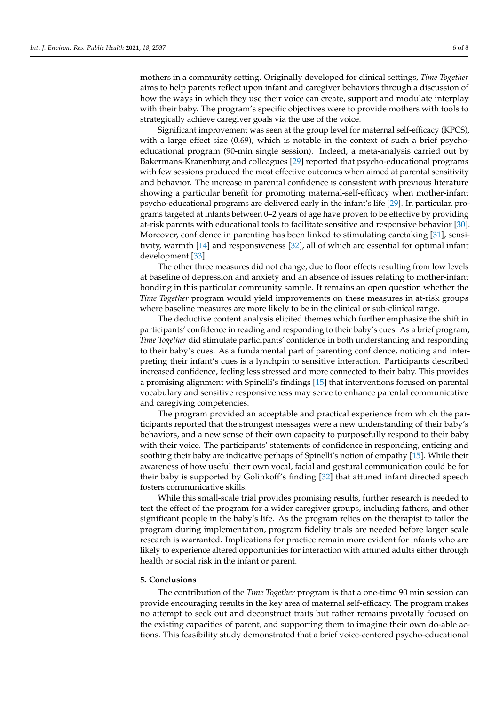mothers in a community setting. Originally developed for clinical settings, *Time Together* aims to help parents reflect upon infant and caregiver behaviors through a discussion of how the ways in which they use their voice can create, support and modulate interplay with their baby. The program's specific objectives were to provide mothers with tools to strategically achieve caregiver goals via the use of the voice.

Significant improvement was seen at the group level for maternal self-efficacy (KPCS), with a large effect size  $(0.69)$ , which is notable in the context of such a brief psychoeducational program (90-min single session). Indeed, a meta-analysis carried out by Bakermans-Kranenburg and colleagues [\[29\]](#page-7-24) reported that psycho-educational programs with few sessions produced the most effective outcomes when aimed at parental sensitivity and behavior. The increase in parental confidence is consistent with previous literature showing a particular benefit for promoting maternal-self-efficacy when mother-infant psycho-educational programs are delivered early in the infant's life [\[29\]](#page-7-24). In particular, programs targeted at infants between 0–2 years of age have proven to be effective by providing at-risk parents with educational tools to facilitate sensitive and responsive behavior [\[30\]](#page-7-25). Moreover, confidence in parenting has been linked to stimulating caretaking [\[31\]](#page-7-26), sensitivity, warmth [\[14\]](#page-7-9) and responsiveness [\[32\]](#page-7-27), all of which are essential for optimal infant development [\[33\]](#page-7-28)

The other three measures did not change, due to floor effects resulting from low levels at baseline of depression and anxiety and an absence of issues relating to mother-infant bonding in this particular community sample. It remains an open question whether the *Time Together* program would yield improvements on these measures in at-risk groups where baseline measures are more likely to be in the clinical or sub-clinical range.

The deductive content analysis elicited themes which further emphasize the shift in participants' confidence in reading and responding to their baby's cues. As a brief program, *Time Together* did stimulate participants' confidence in both understanding and responding to their baby's cues. As a fundamental part of parenting confidence, noticing and interpreting their infant's cues is a lynchpin to sensitive interaction. Participants described increased confidence, feeling less stressed and more connected to their baby. This provides a promising alignment with Spinelli's findings [\[15\]](#page-7-10) that interventions focused on parental vocabulary and sensitive responsiveness may serve to enhance parental communicative and caregiving competencies.

The program provided an acceptable and practical experience from which the participants reported that the strongest messages were a new understanding of their baby's behaviors, and a new sense of their own capacity to purposefully respond to their baby with their voice. The participants' statements of confidence in responding, enticing and soothing their baby are indicative perhaps of Spinelli's notion of empathy [\[15\]](#page-7-10). While their awareness of how useful their own vocal, facial and gestural communication could be for their baby is supported by Golinkoff's finding [\[32\]](#page-7-27) that attuned infant directed speech fosters communicative skills.

While this small-scale trial provides promising results, further research is needed to test the effect of the program for a wider caregiver groups, including fathers, and other significant people in the baby's life. As the program relies on the therapist to tailor the program during implementation, program fidelity trials are needed before larger scale research is warranted. Implications for practice remain more evident for infants who are likely to experience altered opportunities for interaction with attuned adults either through health or social risk in the infant or parent.

# **5. Conclusions**

The contribution of the *Time Together* program is that a one-time 90 min session can provide encouraging results in the key area of maternal self-efficacy. The program makes no attempt to seek out and deconstruct traits but rather remains pivotally focused on the existing capacities of parent, and supporting them to imagine their own do-able actions. This feasibility study demonstrated that a brief voice-centered psycho-educational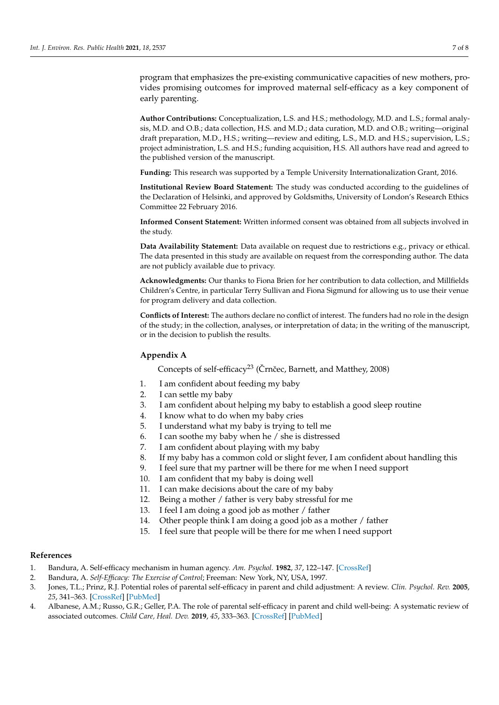program that emphasizes the pre-existing communicative capacities of new mothers, provides promising outcomes for improved maternal self-efficacy as a key component of early parenting.

**Author Contributions:** Conceptualization, L.S. and H.S.; methodology, M.D. and L.S.; formal analysis, M.D. and O.B.; data collection, H.S. and M.D.; data curation, M.D. and O.B.; writing—original draft preparation, M.D., H.S.; writing—review and editing, L.S., M.D. and H.S.; supervision, L.S.; project administration, L.S. and H.S.; funding acquisition, H.S. All authors have read and agreed to the published version of the manuscript.

**Funding:** This research was supported by a Temple University Internationalization Grant, 2016.

**Institutional Review Board Statement:** The study was conducted according to the guidelines of the Declaration of Helsinki, and approved by Goldsmiths, University of London's Research Ethics Committee 22 February 2016.

**Informed Consent Statement:** Written informed consent was obtained from all subjects involved in the study.

**Data Availability Statement:** Data available on request due to restrictions e.g., privacy or ethical. The data presented in this study are available on request from the corresponding author. The data are not publicly available due to privacy.

**Acknowledgments:** Our thanks to Fiona Brien for her contribution to data collection, and Millfields Children's Centre, in particular Terry Sullivan and Fiona Sigmund for allowing us to use their venue for program delivery and data collection.

**Conflicts of Interest:** The authors declare no conflict of interest. The funders had no role in the design of the study; in the collection, analyses, or interpretation of data; in the writing of the manuscript, or in the decision to publish the results.

# <span id="page-6-4"></span>**Appendix A**

Concepts of self-efficacy<sup>23</sup> (Črnčec, Barnett, and Matthey, 2008)

- 1. I am confident about feeding my baby
- 2. I can settle my baby
- 3. I am confident about helping my baby to establish a good sleep routine
- 4. I know what to do when my baby cries
- 5. I understand what my baby is trying to tell me
- 6. I can soothe my baby when he / she is distressed
- 7. I am confident about playing with my baby
- 8. If my baby has a common cold or slight fever, I am confident about handling this
- 9. I feel sure that my partner will be there for me when I need support
- 10. I am confident that my baby is doing well
- 11. I can make decisions about the care of my baby
- 12. Being a mother / father is very baby stressful for me
- 13. I feel I am doing a good job as mother / father
- 14. Other people think I am doing a good job as a mother / father
- 15. I feel sure that people will be there for me when I need support

# **References**

- <span id="page-6-0"></span>1. Bandura, A. Self-efficacy mechanism in human agency. *Am. Psychol.* **1982**, *37*, 122–147. [\[CrossRef\]](http://doi.org/10.1037/0003-066X.37.2.122)
- <span id="page-6-1"></span>2. Bandura, A. *Self-Efficacy: The Exercise of Control*; Freeman: New York, NY, USA, 1997.
- <span id="page-6-2"></span>3. Jones, T.L.; Prinz, R.J. Potential roles of parental self-efficacy in parent and child adjustment: A review. *Clin. Psychol. Rev.* **2005**, *25*, 341–363. [\[CrossRef\]](http://doi.org/10.1016/j.cpr.2004.12.004) [\[PubMed\]](http://www.ncbi.nlm.nih.gov/pubmed/15792853)
- <span id="page-6-3"></span>4. Albanese, A.M.; Russo, G.R.; Geller, P.A. The role of parental self-efficacy in parent and child well-being: A systematic review of associated outcomes. *Child Care, Heal. Dev.* **2019**, *45*, 333–363. [\[CrossRef\]](http://doi.org/10.1111/cch.12661) [\[PubMed\]](http://www.ncbi.nlm.nih.gov/pubmed/30870584)